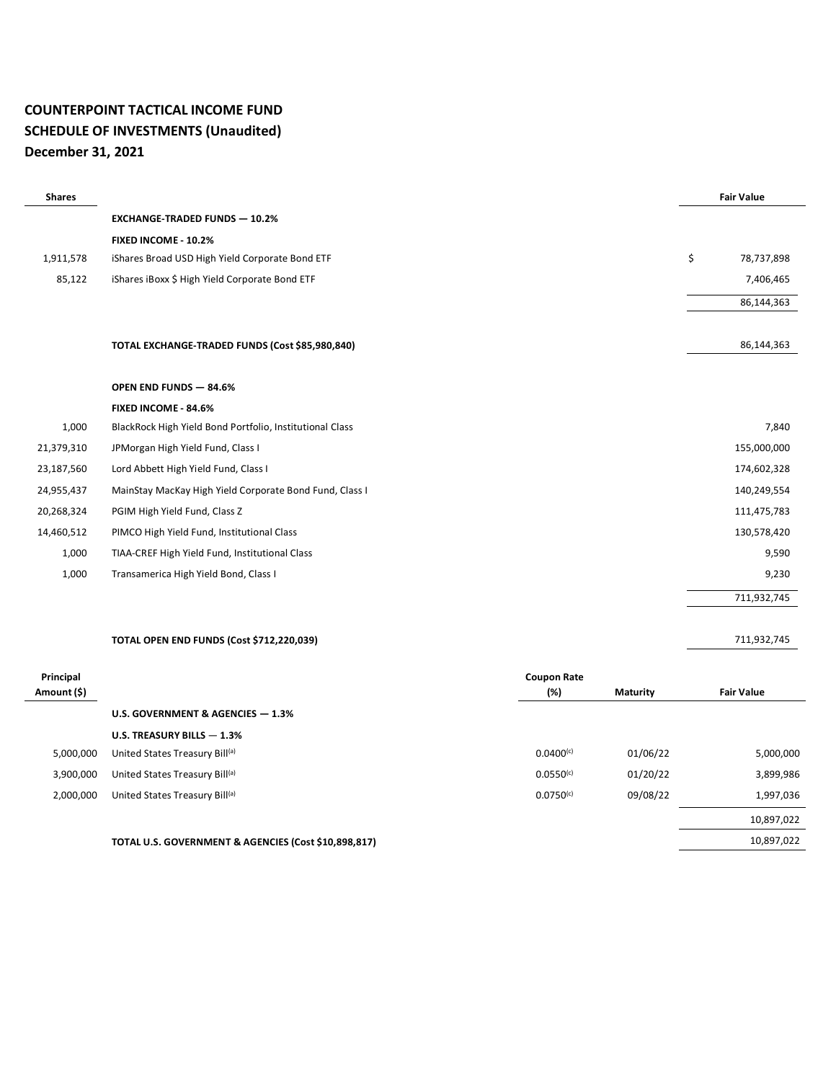#### **COUNTERPOINT TACTICAL INCOME FUND SCHEDULE OF INVESTMENTS (Unaudited) December 31, 2021**

| <b>Shares</b> |                                                          | <b>Fair Value</b> |
|---------------|----------------------------------------------------------|-------------------|
|               | <b>EXCHANGE-TRADED FUNDS - 10.2%</b>                     |                   |
|               | FIXED INCOME - 10.2%                                     |                   |
| 1,911,578     | iShares Broad USD High Yield Corporate Bond ETF          | \$<br>78,737,898  |
| 85,122        | iShares iBoxx \$ High Yield Corporate Bond ETF           | 7,406,465         |
|               |                                                          | 86,144,363        |
|               |                                                          |                   |
|               | TOTAL EXCHANGE-TRADED FUNDS (Cost \$85,980,840)          | 86,144,363        |
|               |                                                          |                   |
|               | <b>OPEN END FUNDS - 84.6%</b>                            |                   |
|               | FIXED INCOME - 84.6%                                     |                   |
| 1,000         | BlackRock High Yield Bond Portfolio, Institutional Class | 7,840             |
| 21,379,310    | JPMorgan High Yield Fund, Class I                        | 155,000,000       |
| 23,187,560    | Lord Abbett High Yield Fund, Class I                     | 174,602,328       |
| 24,955,437    | MainStay MacKay High Yield Corporate Bond Fund, Class I  | 140,249,554       |
| 20,268,324    | PGIM High Yield Fund, Class Z                            | 111,475,783       |
| 14,460,512    | PIMCO High Yield Fund, Institutional Class               | 130,578,420       |
| 1,000         | TIAA-CREF High Yield Fund, Institutional Class           | 9,590             |
| 1,000         | Transamerica High Yield Bond, Class I                    | 9,230             |
|               |                                                          | 711,932,745       |
|               |                                                          |                   |

#### **TOTAL OPEN END FUNDS (Cost \$712,220,039)** 711,932,745

**Principal Amount (\$) Coupon Rate (%) Maturity Fair Value U.S. GOVERNMENT & AGENCIES — 1.3% U.S. TREASURY BILLS** — **1.3%** 5,000,000 United States Treasury Bill<sup>(a)</sup> 0.0400<sup>(c)</sup> 01/06/22 5,000,000 5,000,000 3,900,000 United States Treasury Bill<sup>(a)</sup> 2,899,986 and 201/20/22 0.0550<sup>(c)</sup> 01/20/22 3,899,986 2,000,000 United States Treasury Bill<sup>(a)</sup> 2,000,000 United States Treasury Bill<sup>(a)</sup> 0.0750<sup>(c)</sup> 09/08/22 1,997,036 10,897,022 **TOTAL U.S. GOVERNMENT & AGENCIES (Cost \$10,898,817)** 10,897,022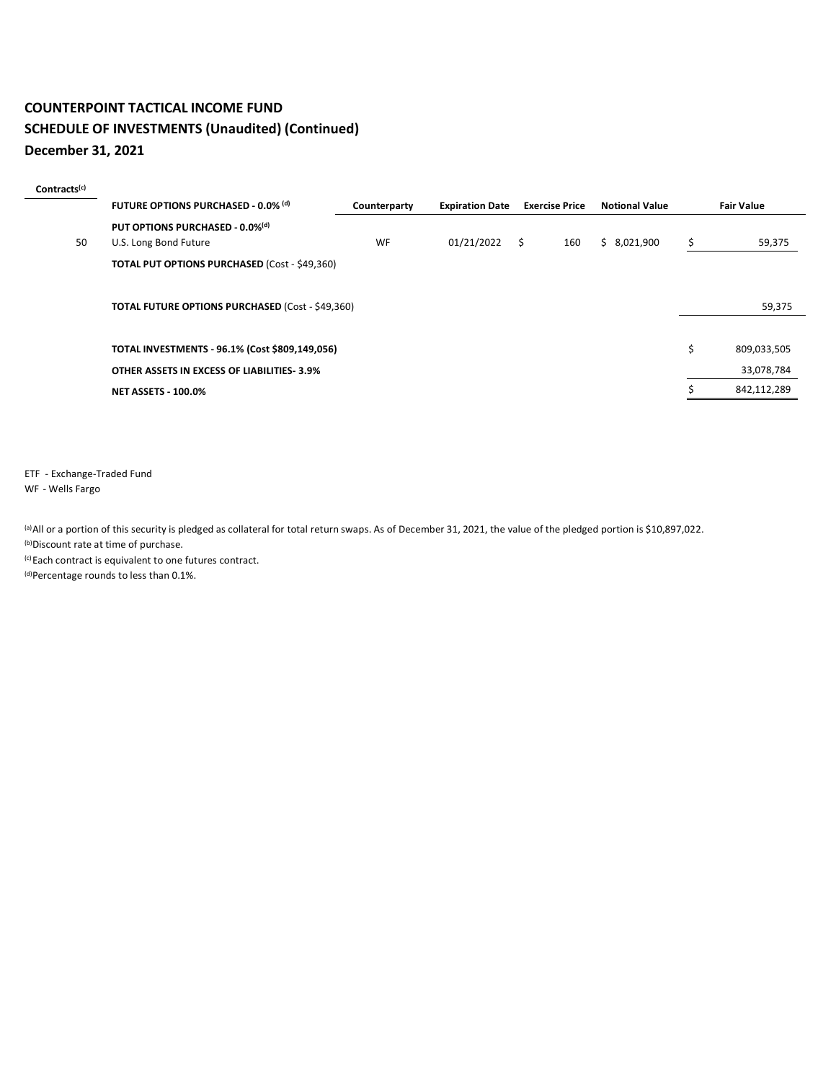| Contracts <sup>(c)</sup> |                                                         |              |                        |                       |                       |                   |
|--------------------------|---------------------------------------------------------|--------------|------------------------|-----------------------|-----------------------|-------------------|
|                          | <b>FUTURE OPTIONS PURCHASED - 0.0% (d)</b>              | Counterparty | <b>Expiration Date</b> | <b>Exercise Price</b> | <b>Notional Value</b> | <b>Fair Value</b> |
|                          | PUT OPTIONS PURCHASED - 0.0%(d)                         |              |                        |                       |                       |                   |
| 50                       | U.S. Long Bond Future                                   | WF           | 01/21/2022             | $\sim$ \$<br>160      | \$8,021,900           | \$<br>59,375      |
|                          | <b>TOTAL PUT OPTIONS PURCHASED (Cost - \$49,360)</b>    |              |                        |                       |                       |                   |
|                          | <b>TOTAL FUTURE OPTIONS PURCHASED (Cost - \$49,360)</b> |              |                        |                       |                       | 59,375            |
|                          | TOTAL INVESTMENTS - 96.1% (Cost \$809,149,056)          |              |                        |                       |                       | \$<br>809,033,505 |
|                          | OTHER ASSETS IN EXCESS OF LIABILITIES 3.9%              |              |                        |                       |                       | 33,078,784        |
|                          | <b>NET ASSETS - 100.0%</b>                              |              |                        |                       |                       | 842,112,289       |
|                          |                                                         |              |                        |                       |                       |                   |

ETF - Exchange-Traded Fund WF - Wells Fargo

(a) All or a portion of this security is pledged as collateral for total return swaps. As of December 31, 2021, the value of the pledged portion is \$10,897,022.

(b)Discount rate at time of purchase.

 $(c)$  Each contract is equivalent to one futures contract.

(d)Percentage rounds to less than 0.1%.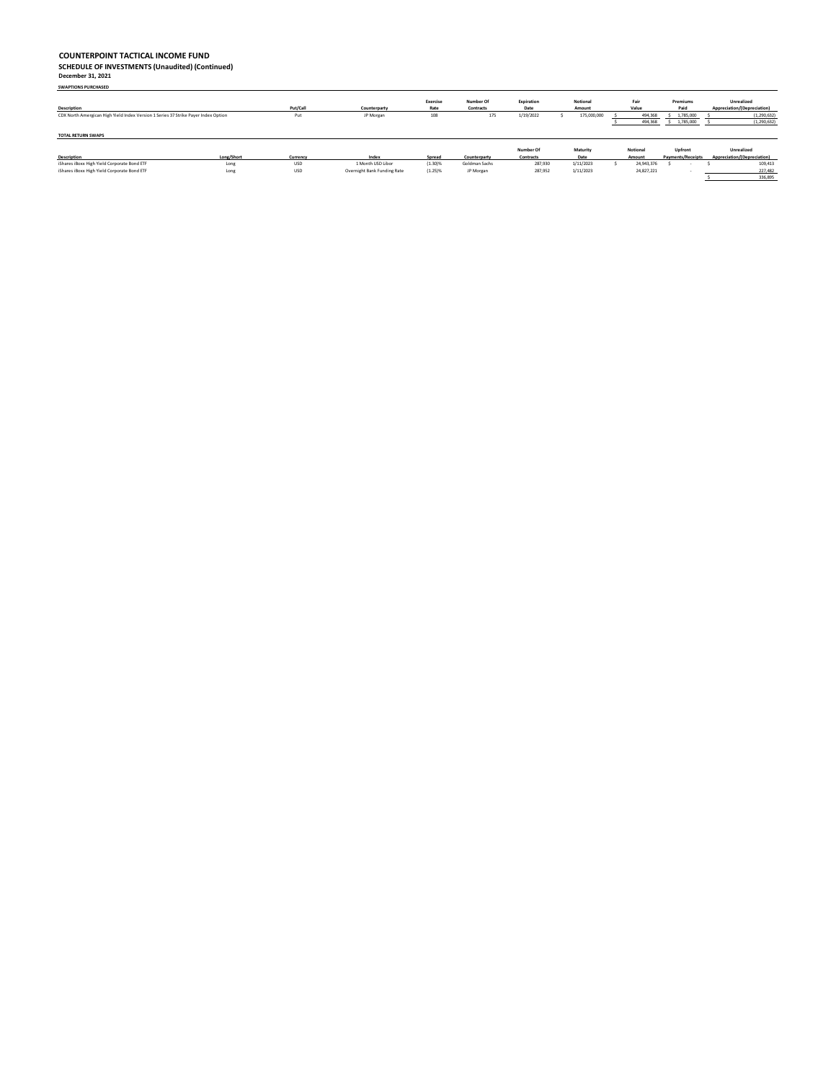**SWAPTIONS PURCHASED Exercise Number Of Expiration Notional Fair Premiums Unrealized** Description (http://www.com/science/science/science/science/science/science/science/science/science/science/science/science/science/science/science/science/science/science/science/science/science/science/science/science/sc \$ 494,368 \$ 1,785,000 \$ (1,290,632) **TOTAL RETURN SWAPS Number Of Maturity Notional Upfront Unrealized** <u>Long/Short Currency Index Spread Counterparty Contracts Date Amount Payments/Receipts Appreciation/(Depreciation)<br>[Share: Idox | Internation | Internation | United Unit (120) Section 1.00,000 1.0001 1.0001 0.0001 0.0001 </u>

\$ 336,895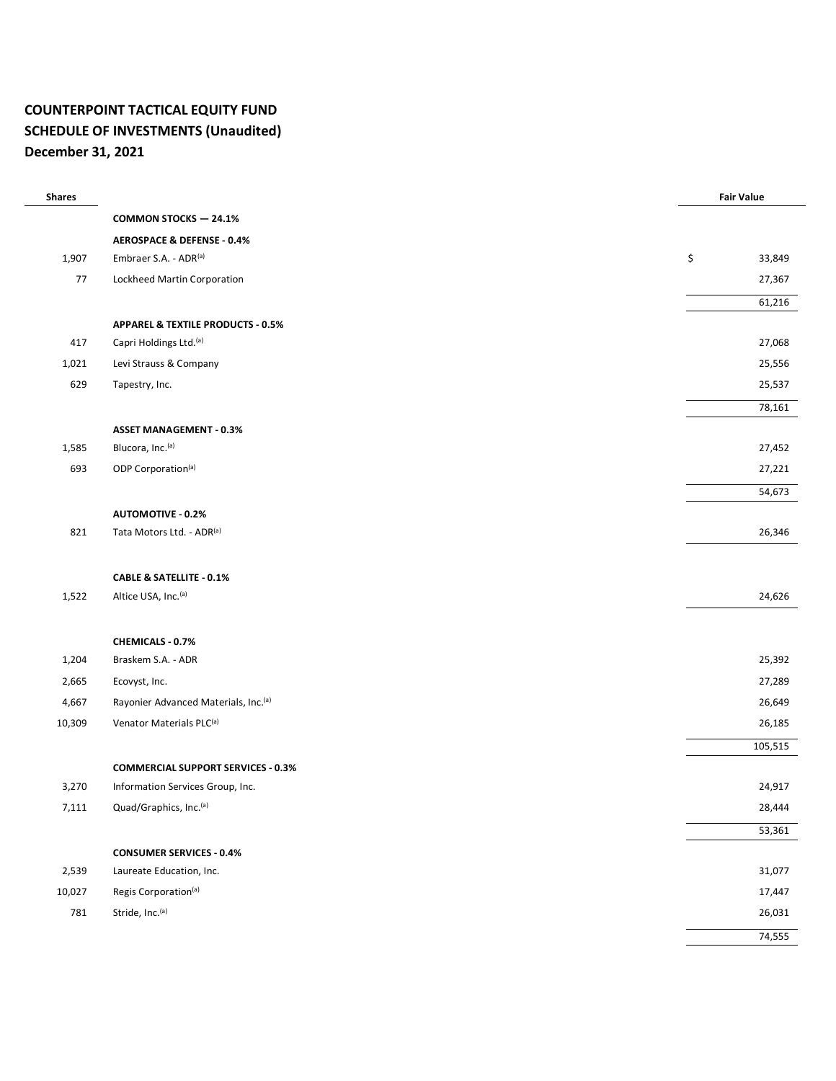| <b>Shares</b> |                                              | <b>Fair Value</b> |
|---------------|----------------------------------------------|-------------------|
|               | <b>COMMON STOCKS - 24.1%</b>                 |                   |
|               | <b>AEROSPACE &amp; DEFENSE - 0.4%</b>        |                   |
| 1,907         | Embraer S.A. - ADR(a)                        | \$<br>33,849      |
| 77            | Lockheed Martin Corporation                  | 27,367            |
|               |                                              | 61,216            |
|               | <b>APPAREL &amp; TEXTILE PRODUCTS - 0.5%</b> |                   |
| 417           | Capri Holdings Ltd.(a)                       | 27,068            |
| 1,021         | Levi Strauss & Company                       | 25,556            |
| 629           | Tapestry, Inc.                               | 25,537            |
|               |                                              | 78,161            |
|               | <b>ASSET MANAGEMENT - 0.3%</b>               |                   |
| 1,585         | Blucora, Inc.(a)                             | 27,452            |
| 693           | ODP Corporation <sup>(a)</sup>               | 27,221            |
|               |                                              | 54,673            |
|               | <b>AUTOMOTIVE - 0.2%</b>                     |                   |
| 821           | Tata Motors Ltd. - ADR(a)                    | 26,346            |
|               | <b>CABLE &amp; SATELLITE - 0.1%</b>          |                   |
| 1,522         | Altice USA, Inc. (a)                         | 24,626            |
|               | CHEMICALS - 0.7%                             |                   |
| 1,204         | Braskem S.A. - ADR                           | 25,392            |
| 2,665         | Ecovyst, Inc.                                | 27,289            |
| 4,667         | Rayonier Advanced Materials, Inc.(a)         | 26,649            |
| 10,309        | Venator Materials PLC(a)                     | 26,185            |
|               |                                              | 105,515           |
|               | <b>COMMERCIAL SUPPORT SERVICES - 0.3%</b>    |                   |
| 3,270         | Information Services Group, Inc.             | 24,917            |
| 7,111         | Quad/Graphics, Inc.(a)                       | 28,444            |
|               |                                              | 53,361            |
|               | <b>CONSUMER SERVICES - 0.4%</b>              |                   |
| 2,539         | Laureate Education, Inc.                     | 31,077            |
| 10,027        | Regis Corporation <sup>(a)</sup>             | 17,447            |
| 781           | Stride, Inc.(a)                              | 26,031            |
|               |                                              | 74,555            |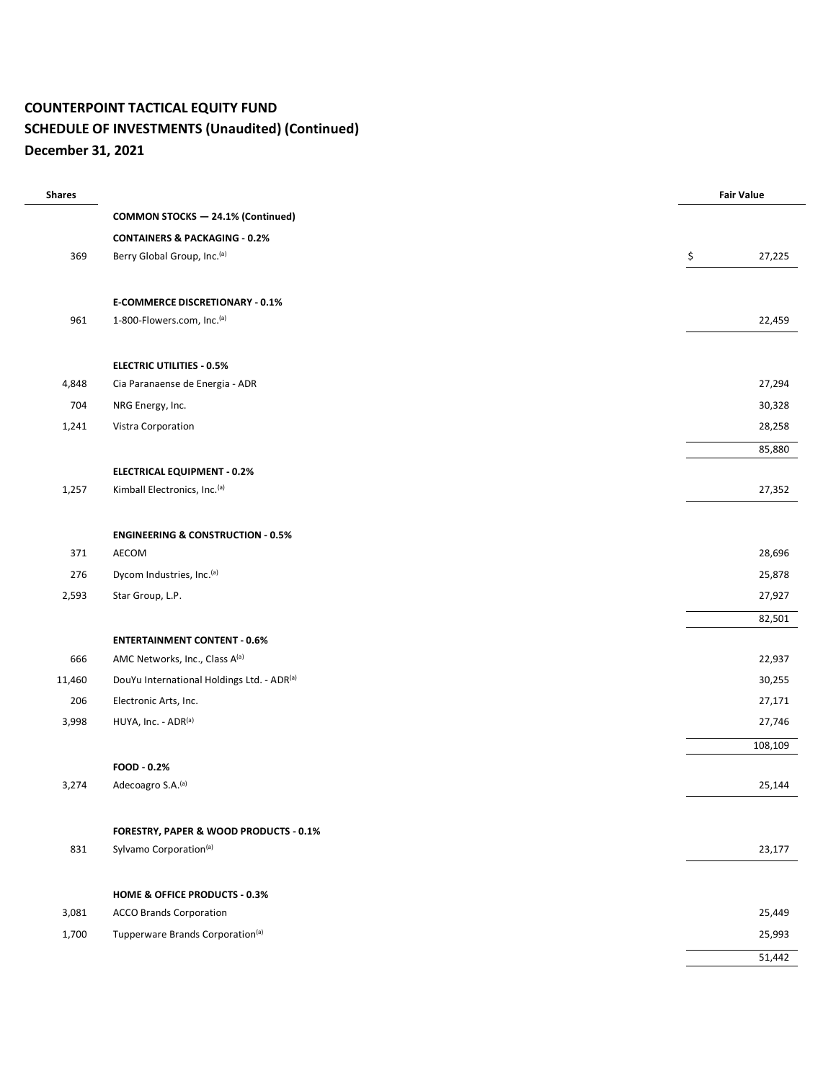| <b>Shares</b> |                                              | <b>Fair Value</b> |  |  |  |
|---------------|----------------------------------------------|-------------------|--|--|--|
|               | COMMON STOCKS - 24.1% (Continued)            |                   |  |  |  |
|               | <b>CONTAINERS &amp; PACKAGING - 0.2%</b>     |                   |  |  |  |
| 369           | Berry Global Group, Inc. <sup>(a)</sup>      | \$<br>27,225      |  |  |  |
|               | <b>E-COMMERCE DISCRETIONARY - 0.1%</b>       |                   |  |  |  |
| 961           | 1-800-Flowers.com, Inc.(a)                   | 22,459            |  |  |  |
|               | <b>ELECTRIC UTILITIES - 0.5%</b>             |                   |  |  |  |
| 4,848         | Cia Paranaense de Energia - ADR              | 27,294            |  |  |  |
| 704           | NRG Energy, Inc.                             | 30,328            |  |  |  |
| 1,241         | Vistra Corporation                           | 28,258            |  |  |  |
|               |                                              | 85,880            |  |  |  |
|               | <b>ELECTRICAL EQUIPMENT - 0.2%</b>           |                   |  |  |  |
| 1,257         | Kimball Electronics, Inc.(a)                 | 27,352            |  |  |  |
|               | <b>ENGINEERING &amp; CONSTRUCTION - 0.5%</b> |                   |  |  |  |
| 371           | AECOM                                        | 28,696            |  |  |  |
| 276           | Dycom Industries, Inc.(a)                    | 25,878            |  |  |  |
| 2,593         | Star Group, L.P.                             | 27,927            |  |  |  |
|               |                                              | 82,501            |  |  |  |
|               | <b>ENTERTAINMENT CONTENT - 0.6%</b>          |                   |  |  |  |
| 666           | AMC Networks, Inc., Class A(a)               | 22,937            |  |  |  |
| 11,460        | DouYu International Holdings Ltd. - ADR(a)   | 30,255            |  |  |  |
| 206           | Electronic Arts, Inc.                        | 27,171            |  |  |  |
| 3,998         | HUYA, Inc. - ADR(a)                          | 27,746            |  |  |  |
|               |                                              | 108,109           |  |  |  |
|               | FOOD - 0.2%                                  |                   |  |  |  |
| 3,274         | Adecoagro S.A.(a)                            | 25,144            |  |  |  |
|               | FORESTRY, PAPER & WOOD PRODUCTS - 0.1%       |                   |  |  |  |
| 831           | Sylvamo Corporation <sup>(a)</sup>           | 23,177            |  |  |  |
|               | <b>HOME &amp; OFFICE PRODUCTS - 0.3%</b>     |                   |  |  |  |
| 3,081         | <b>ACCO Brands Corporation</b>               | 25,449            |  |  |  |
| 1,700         | Tupperware Brands Corporation <sup>(a)</sup> | 25,993            |  |  |  |
|               |                                              | 51,442            |  |  |  |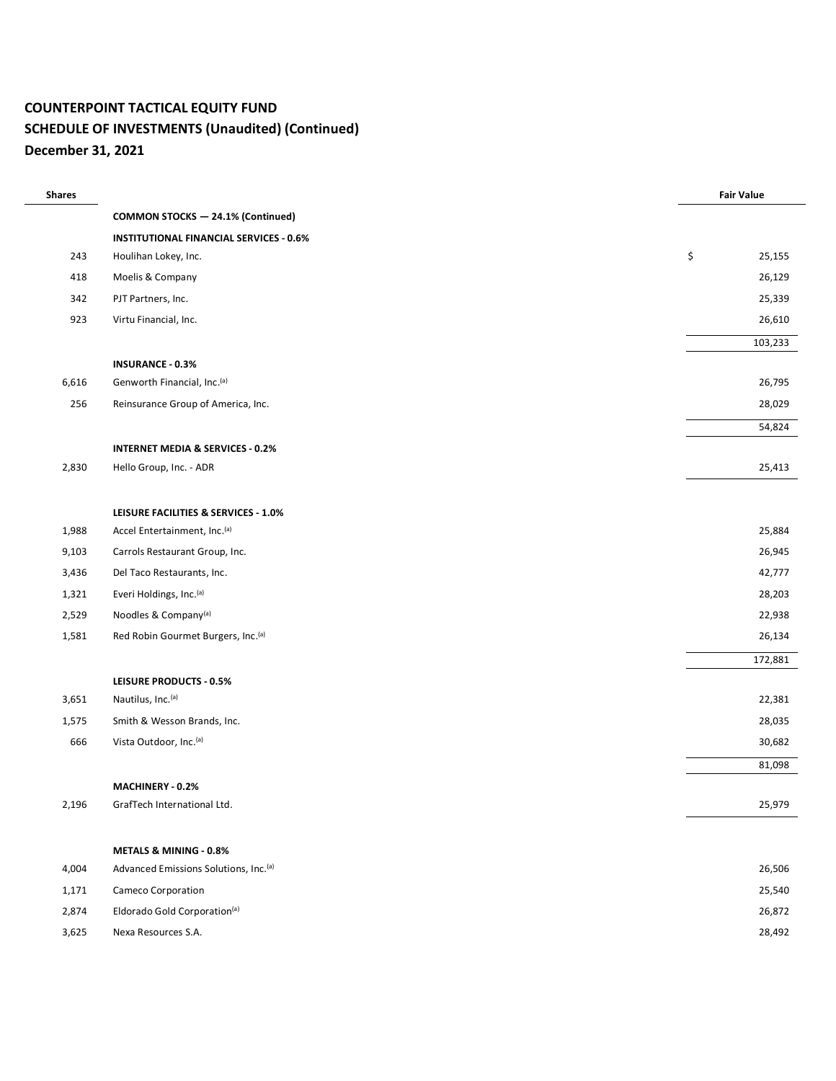| <b>Shares</b> |                                                | <b>Fair Value</b> |
|---------------|------------------------------------------------|-------------------|
|               | COMMON STOCKS - 24.1% (Continued)              |                   |
|               | <b>INSTITUTIONAL FINANCIAL SERVICES - 0.6%</b> |                   |
| 243           | Houlihan Lokey, Inc.                           | \$<br>25,155      |
| 418           | Moelis & Company                               | 26,129            |
| 342           | PJT Partners, Inc.                             | 25,339            |
| 923           | Virtu Financial, Inc.                          | 26,610            |
|               |                                                | 103,233           |
|               | <b>INSURANCE - 0.3%</b>                        |                   |
| 6,616         | Genworth Financial, Inc. <sup>(a)</sup>        | 26,795            |
| 256           | Reinsurance Group of America, Inc.             | 28,029            |
|               |                                                | 54,824            |
|               | <b>INTERNET MEDIA &amp; SERVICES - 0.2%</b>    |                   |
| 2,830         | Hello Group, Inc. - ADR                        | 25,413            |
|               |                                                |                   |
|               | LEISURE FACILITIES & SERVICES - 1.0%           |                   |
| 1,988         | Accel Entertainment, Inc. <sup>(a)</sup>       | 25,884            |
| 9,103         | Carrols Restaurant Group, Inc.                 | 26,945            |
| 3,436         | Del Taco Restaurants, Inc.                     | 42,777            |
| 1,321         | Everi Holdings, Inc. (a)                       | 28,203            |
| 2,529         | Noodles & Company <sup>(a)</sup>               | 22,938            |
| 1,581         | Red Robin Gourmet Burgers, Inc.(a)             | 26,134            |
|               |                                                | 172,881           |
|               | <b>LEISURE PRODUCTS - 0.5%</b>                 |                   |
| 3,651         | Nautilus, Inc. (a)                             | 22,381            |
| 1,575         | Smith & Wesson Brands, Inc.                    | 28,035            |
| 666           | Vista Outdoor, Inc.(a)                         | 30,682            |
|               |                                                | 81,098            |
|               | MACHINERY - 0.2%                               |                   |
| 2,196         | GrafTech International Ltd.                    | 25,979            |
|               |                                                |                   |
|               | METALS & MINING - 0.8%                         |                   |
| 4,004         | Advanced Emissions Solutions, Inc.(a)          | 26,506            |
| 1,171         | Cameco Corporation                             | 25,540            |
| 2,874         | Eldorado Gold Corporation <sup>(a)</sup>       | 26,872            |
| 3,625         | Nexa Resources S.A.                            | 28,492            |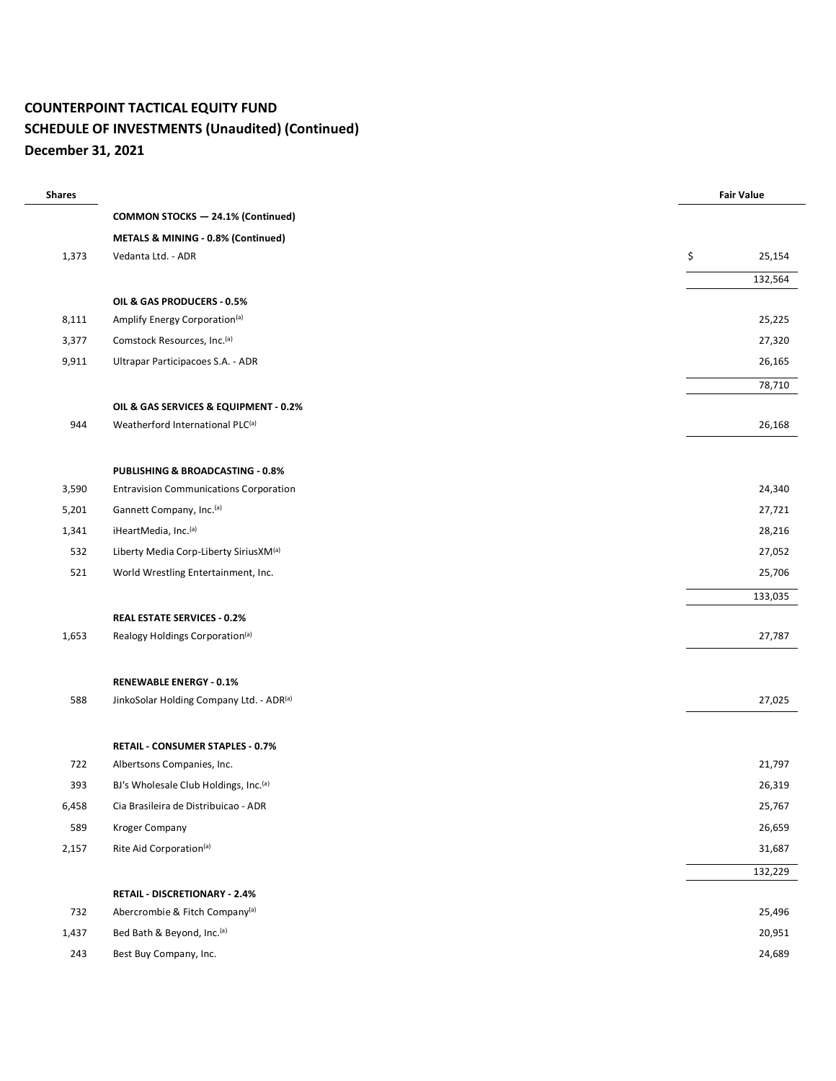| <b>Shares</b> |                                                                                    | <b>Fair Value</b> |
|---------------|------------------------------------------------------------------------------------|-------------------|
|               | COMMON STOCKS - 24.1% (Continued)                                                  |                   |
|               | METALS & MINING - 0.8% (Continued)                                                 |                   |
| 1,373         | Vedanta Ltd. - ADR                                                                 | \$<br>25,154      |
|               |                                                                                    | 132,564           |
|               | OIL & GAS PRODUCERS - 0.5%                                                         |                   |
| 8,111         | Amplify Energy Corporation <sup>(a)</sup>                                          | 25,225            |
| 3,377         | Comstock Resources, Inc.(a)                                                        | 27,320            |
| 9,911         | Ultrapar Participacoes S.A. - ADR                                                  | 26,165            |
|               |                                                                                    | 78,710            |
|               | OIL & GAS SERVICES & EQUIPMENT - 0.2%                                              |                   |
| 944           | Weatherford International PLC <sup>(a)</sup>                                       | 26,168            |
|               |                                                                                    |                   |
|               | PUBLISHING & BROADCASTING - 0.8%                                                   |                   |
| 3,590         | <b>Entravision Communications Corporation</b>                                      | 24,340            |
| 5,201         | Gannett Company, Inc. <sup>(a)</sup>                                               | 27,721            |
| 1,341         | iHeartMedia, Inc. <sup>(a)</sup>                                                   | 28,216            |
| 532           | Liberty Media Corp-Liberty SiriusXM(a)                                             | 27,052            |
| 521           | World Wrestling Entertainment, Inc.                                                | 25,706            |
|               |                                                                                    | 133,035           |
|               | <b>REAL ESTATE SERVICES - 0.2%</b>                                                 |                   |
| 1,653         | Realogy Holdings Corporation <sup>(a)</sup>                                        | 27,787            |
|               |                                                                                    |                   |
|               | <b>RENEWABLE ENERGY - 0.1%</b>                                                     |                   |
| 588           | JinkoSolar Holding Company Ltd. - ADR(a)                                           | 27,025            |
|               |                                                                                    |                   |
|               | <b>RETAIL - CONSUMER STAPLES - 0.7%</b>                                            |                   |
| 722           | Albertsons Companies, Inc.                                                         | 21,797            |
| 393           | BJ's Wholesale Club Holdings, Inc. <sup>(a)</sup>                                  | 26,319            |
| 6,458         | Cia Brasileira de Distribuicao - ADR                                               | 25,767            |
| 589           | <b>Kroger Company</b>                                                              | 26,659            |
| 2,157         | Rite Aid Corporation <sup>(a)</sup>                                                | 31,687            |
|               |                                                                                    | 132,229           |
|               |                                                                                    |                   |
| 732           | <b>RETAIL - DISCRETIONARY - 2.4%</b><br>Abercrombie & Fitch Company <sup>(a)</sup> | 25,496            |
| 1,437         | Bed Bath & Beyond, Inc.(a)                                                         | 20,951            |
| 243           | Best Buy Company, Inc.                                                             | 24,689            |
|               |                                                                                    |                   |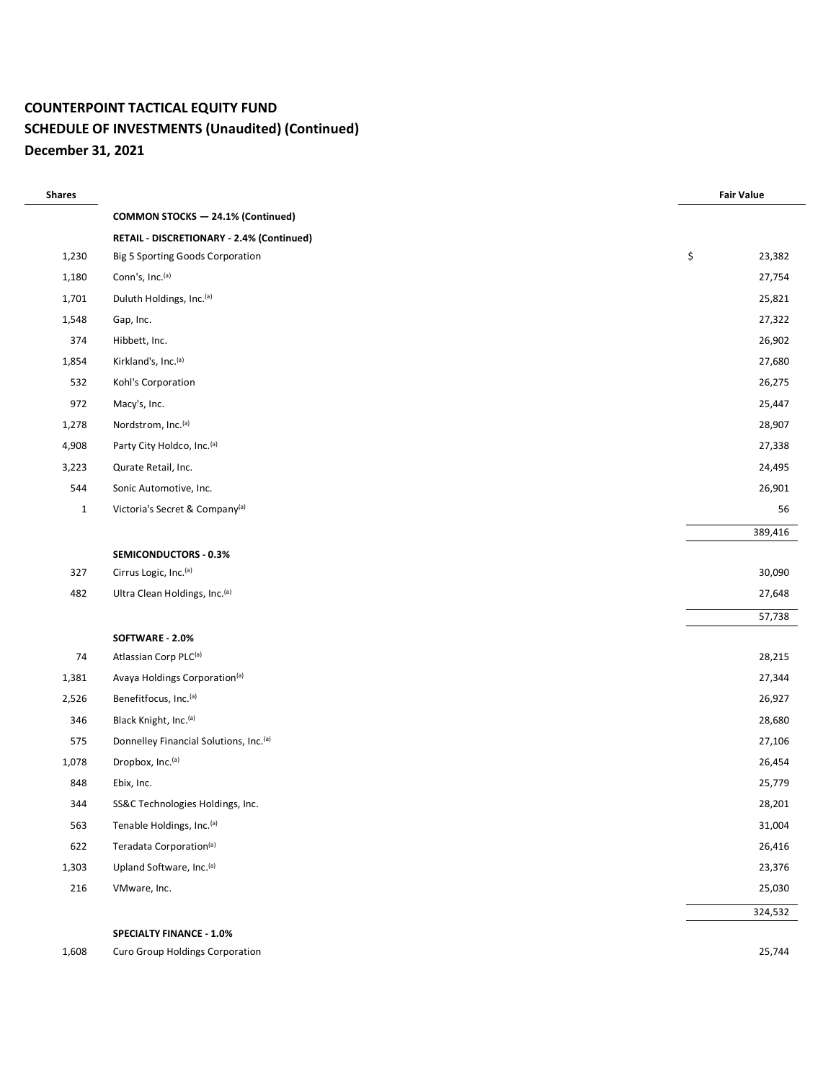$\overline{\phantom{a}}$ 

| <b>Shares</b> |                                                    | <b>Fair Value</b> |
|---------------|----------------------------------------------------|-------------------|
|               | COMMON STOCKS - 24.1% (Continued)                  |                   |
|               | RETAIL - DISCRETIONARY - 2.4% (Continued)          |                   |
| 1,230         | <b>Big 5 Sporting Goods Corporation</b>            | \$<br>23,382      |
| 1,180         | Conn's, Inc.(a)                                    | 27,754            |
| 1,701         | Duluth Holdings, Inc.(a)                           | 25,821            |
| 1,548         | Gap, Inc.                                          | 27,322            |
| 374           | Hibbett, Inc.                                      | 26,902            |
| 1,854         | Kirkland's, Inc.(a)                                | 27,680            |
| 532           | Kohl's Corporation                                 | 26,275            |
| 972           | Macy's, Inc.                                       | 25,447            |
| 1,278         | Nordstrom, Inc.(a)                                 | 28,907            |
| 4,908         | Party City Holdco, Inc.(a)                         | 27,338            |
| 3,223         | Qurate Retail, Inc.                                | 24,495            |
| 544           | Sonic Automotive, Inc.                             | 26,901            |
| $\mathbf{1}$  | Victoria's Secret & Company <sup>(a)</sup>         | 56                |
|               |                                                    | 389,416           |
|               | SEMICONDUCTORS - 0.3%                              |                   |
| 327           | Cirrus Logic, Inc.(a)                              | 30,090            |
| 482           | Ultra Clean Holdings, Inc. <sup>(a)</sup>          | 27,648            |
|               |                                                    | 57,738            |
|               | SOFTWARE - 2.0%                                    |                   |
| 74            | Atlassian Corp PLC <sup>(a)</sup>                  | 28,215            |
| 1,381         | Avaya Holdings Corporation <sup>(a)</sup>          | 27,344            |
| 2,526         | Benefitfocus, Inc.(a)                              | 26,927            |
| 346           | Black Knight, Inc. <sup>(a)</sup>                  | 28,680            |
| 575           | Donnelley Financial Solutions, Inc. <sup>(a)</sup> | 27,106            |
| 1,078         | Dropbox, Inc. <sup>(a)</sup>                       | 26,454            |
| 848           | Ebix, Inc.                                         | 25,779            |
| 344           | SS&C Technologies Holdings, Inc.                   | 28,201            |
| 563           | Tenable Holdings, Inc.(a)                          | 31,004            |
| 622           | Teradata Corporation <sup>(a)</sup>                | 26,416            |
| 1,303         | Upland Software, Inc. <sup>(a)</sup>               | 23,376            |
| 216           | VMware, Inc.                                       | 25,030            |
|               |                                                    | 324,532           |
|               | <b>SPECIALTY FINANCE - 1.0%</b>                    |                   |

1,608 Curo Group Holdings Corporation 25,744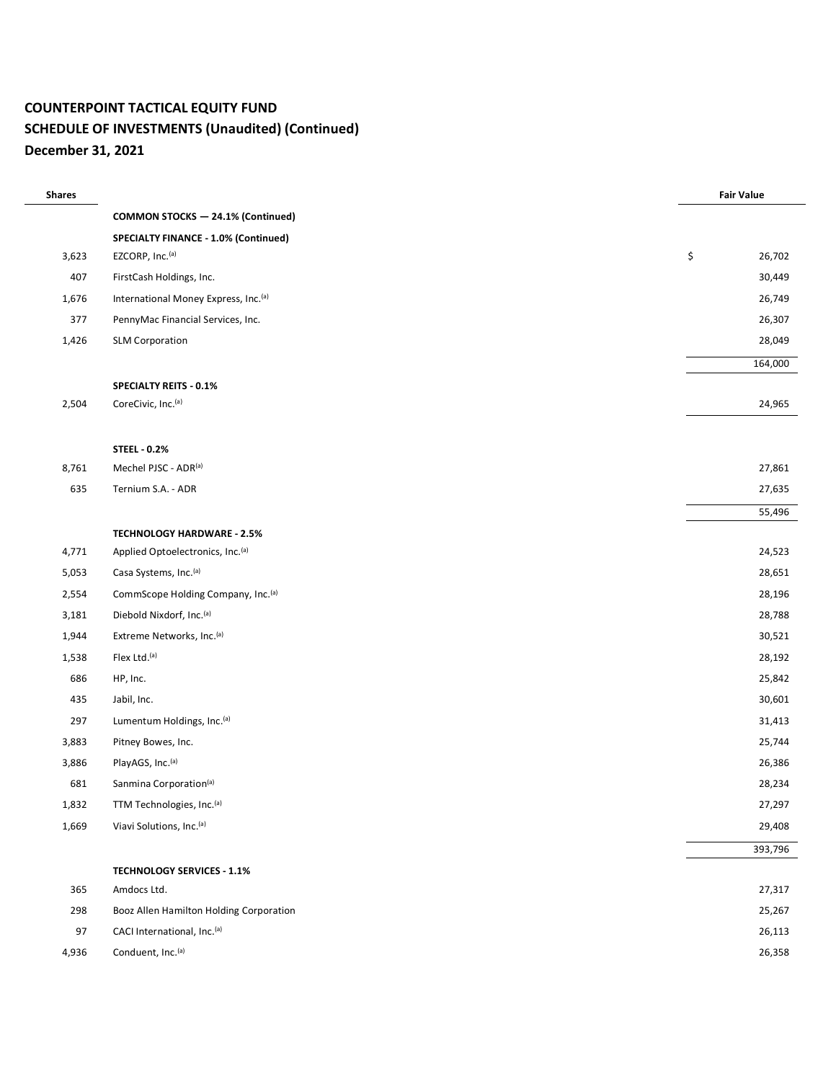| <b>Shares</b> |                                             | <b>Fair Value</b> |
|---------------|---------------------------------------------|-------------------|
|               | COMMON STOCKS - 24.1% (Continued)           |                   |
|               | <b>SPECIALTY FINANCE - 1.0% (Continued)</b> |                   |
| 3,623         | EZCORP, Inc.(a)                             | \$<br>26,702      |
| 407           | FirstCash Holdings, Inc.                    | 30,449            |
| 1,676         | International Money Express, Inc.(a)        | 26,749            |
| 377           | PennyMac Financial Services, Inc.           | 26,307            |
| 1,426         | <b>SLM Corporation</b>                      | 28,049            |
|               |                                             | 164,000           |
|               | <b>SPECIALTY REITS - 0.1%</b>               |                   |
| 2,504         | CoreCivic, Inc.(a)                          | 24,965            |
|               |                                             |                   |
|               | <b>STEEL - 0.2%</b>                         |                   |
| 8,761         | Mechel PJSC - ADR(a)                        | 27,861            |
| 635           | Ternium S.A. - ADR                          | 27,635            |
|               |                                             | 55,496            |
|               | <b>TECHNOLOGY HARDWARE - 2.5%</b>           |                   |
| 4,771         | Applied Optoelectronics, Inc.(a)            | 24,523            |
| 5,053         | Casa Systems, Inc.(a)                       | 28,651            |
| 2,554         | CommScope Holding Company, Inc.(a)          | 28,196            |
| 3,181         | Diebold Nixdorf, Inc.(a)                    | 28,788            |
| 1,944         | Extreme Networks, Inc.(a)                   | 30,521            |
| 1,538         | Flex Ltd.(a)                                | 28,192            |
| 686           | HP, Inc.                                    | 25,842            |
| 435           | Jabil, Inc.                                 | 30,601            |
| 297           | Lumentum Holdings, Inc.(a)                  | 31,413            |
| 3,883         | Pitney Bowes, Inc.                          | 25,744            |
| 3,886         | PlayAGS, Inc.(a)                            | 26,386            |
| 681           | Sanmina Corporation <sup>(a)</sup>          | 28,234            |
| 1,832         | TTM Technologies, Inc.(a)                   | 27,297            |
| 1,669         | Viavi Solutions, Inc.(a)                    | 29,408            |
|               |                                             | 393,796           |
|               | <b>TECHNOLOGY SERVICES - 1.1%</b>           |                   |
| 365           | Amdocs Ltd.                                 | 27,317            |
| 298           | Booz Allen Hamilton Holding Corporation     | 25,267            |
| 97            | CACI International, Inc.(a)                 | 26,113            |
| 4,936         | Conduent, Inc.(a)                           | 26,358            |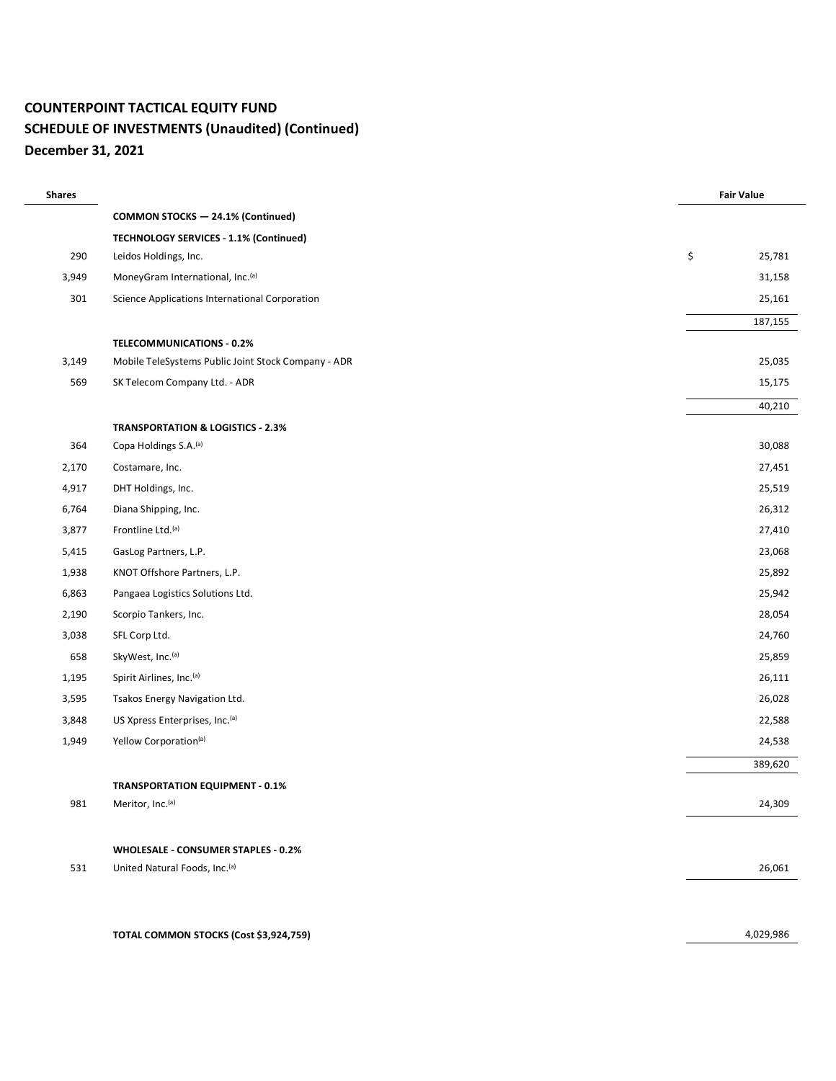| <b>Shares</b> |                                                     | <b>Fair Value</b> |  |
|---------------|-----------------------------------------------------|-------------------|--|
|               | COMMON STOCKS - 24.1% (Continued)                   |                   |  |
|               | TECHNOLOGY SERVICES - 1.1% (Continued)              |                   |  |
| 290           | Leidos Holdings, Inc.                               | \$<br>25,781      |  |
| 3,949         | MoneyGram International, Inc.(a)                    | 31,158            |  |
| 301           | Science Applications International Corporation      | 25,161            |  |
|               |                                                     | 187,155           |  |
|               | <b>TELECOMMUNICATIONS - 0.2%</b>                    |                   |  |
| 3,149         | Mobile TeleSystems Public Joint Stock Company - ADR | 25,035            |  |
| 569           | SK Telecom Company Ltd. - ADR                       | 15,175            |  |
|               |                                                     | 40,210            |  |
|               | <b>TRANSPORTATION &amp; LOGISTICS - 2.3%</b>        |                   |  |
| 364           | Copa Holdings S.A.(a)                               | 30,088            |  |
| 2,170         | Costamare, Inc.                                     | 27,451            |  |
| 4,917         | DHT Holdings, Inc.                                  | 25,519            |  |
| 6,764         | Diana Shipping, Inc.                                | 26,312            |  |
| 3,877         | Frontline Ltd. <sup>(a)</sup>                       | 27,410            |  |
| 5,415         | GasLog Partners, L.P.                               | 23,068            |  |
| 1,938         | KNOT Offshore Partners, L.P.                        | 25,892            |  |
| 6,863         | Pangaea Logistics Solutions Ltd.                    | 25,942            |  |
| 2,190         | Scorpio Tankers, Inc.                               | 28,054            |  |
| 3,038         | SFL Corp Ltd.                                       | 24,760            |  |
| 658           | SkyWest, Inc.(a)                                    | 25,859            |  |
| 1,195         | Spirit Airlines, Inc.(a)                            | 26,111            |  |
| 3,595         | Tsakos Energy Navigation Ltd.                       | 26,028            |  |
| 3,848         | US Xpress Enterprises, Inc. <sup>(a)</sup>          | 22,588            |  |
| 1,949         | Yellow Corporation <sup>(a)</sup>                   | 24,538            |  |
|               |                                                     | 389,620           |  |
|               | <b>TRANSPORTATION EQUIPMENT - 0.1%</b>              |                   |  |
| 981           | Meritor, Inc.(a)                                    | 24,309            |  |
|               |                                                     |                   |  |
|               | <b>WHOLESALE - CONSUMER STAPLES - 0.2%</b>          |                   |  |
| 531           | United Natural Foods, Inc.(a)                       | 26,061            |  |
|               |                                                     |                   |  |
|               |                                                     |                   |  |

**TOTAL COMMON STOCKS (Cost \$3,924,759)** 4,029,986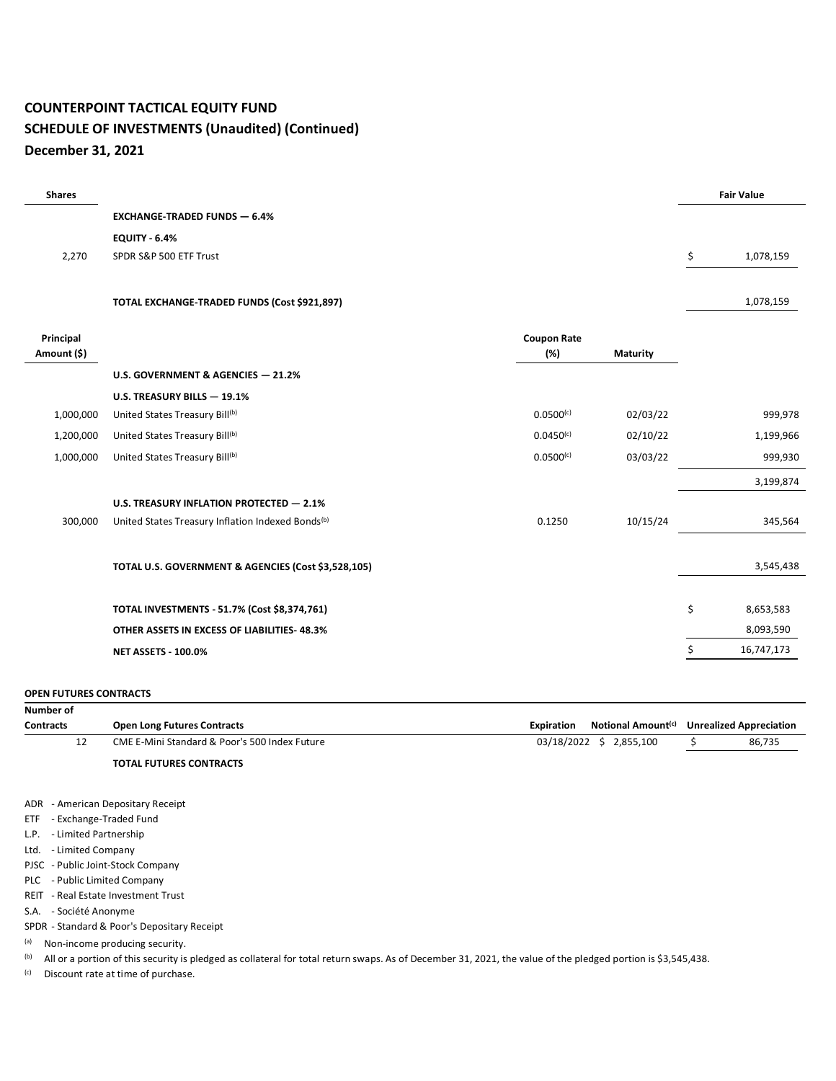| <b>Shares</b>            |                                                               |                           |                 | <b>Fair Value</b> |
|--------------------------|---------------------------------------------------------------|---------------------------|-----------------|-------------------|
|                          | <b>EXCHANGE-TRADED FUNDS - 6.4%</b>                           |                           |                 |                   |
|                          | <b>EQUITY - 6.4%</b>                                          |                           |                 |                   |
| 2,270                    | SPDR S&P 500 ETF Trust                                        |                           |                 | \$<br>1,078,159   |
|                          | TOTAL EXCHANGE-TRADED FUNDS (Cost \$921,897)                  |                           |                 | 1,078,159         |
| Principal<br>Amount (\$) |                                                               | <b>Coupon Rate</b><br>(%) | <b>Maturity</b> |                   |
|                          | U.S. GOVERNMENT & AGENCIES - 21.2%                            |                           |                 |                   |
|                          | U.S. TREASURY BILLS - 19.1%                                   |                           |                 |                   |
| 1,000,000                | United States Treasury Bill(b)                                | 0.0500(c)                 | 02/03/22        | 999,978           |
| 1,200,000                | United States Treasury Bill(b)                                | $0.0450^{(c)}$            | 02/10/22        | 1,199,966         |
| 1,000,000                | United States Treasury Bill(b)                                | $0.0500^{(c)}$            | 03/03/22        | 999,930           |
|                          |                                                               |                           |                 | 3,199,874         |
|                          | U.S. TREASURY INFLATION PROTECTED - 2.1%                      |                           |                 |                   |
| 300,000                  | United States Treasury Inflation Indexed Bonds <sup>(b)</sup> | 0.1250                    | 10/15/24        | 345,564           |
|                          |                                                               |                           |                 |                   |
|                          | TOTAL U.S. GOVERNMENT & AGENCIES (Cost \$3,528,105)           |                           |                 | 3,545,438         |
|                          |                                                               |                           |                 |                   |
|                          | TOTAL INVESTMENTS - 51.7% (Cost \$8,374,761)                  |                           |                 | \$<br>8,653,583   |
|                          | OTHER ASSETS IN EXCESS OF LIABILITIES-48.3%                   |                           |                 | 8,093,590         |
|                          | <b>NET ASSETS - 100.0%</b>                                    |                           |                 | \$<br>16,747,173  |

#### **OPEN FUTURES CONTRACTS**

| Number of        |                                               |                                                                      |
|------------------|-----------------------------------------------|----------------------------------------------------------------------|
| <b>Contracts</b> | <b>Open Long Futures Contracts</b>            | Notional Amount <sup>(c)</sup> Unrealized Appreciation<br>Expiration |
|                  | CME E-Mini Standard & Poor's 500 Index Future | 03/18/2022 \$ 2,855,100<br>86,735                                    |
|                  | <b>TOTAL FUTURES CONTRACTS</b>                |                                                                      |

ADR - American Depositary Receipt

ETF - Exchange-Traded Fund

L.P. - Limited Partnership

Ltd. - Limited Company

PJSC - Public Joint-Stock Company

PLC - Public Limited Company

REIT - Real Estate Investment Trust

S.A. - Société Anonyme

SPDR - Standard & Poor's Depositary Receipt

(a) Non-income producing security.

(b) All or a portion of this security is pledged as collateral for total return swaps. As of December 31, 2021, the value of the pledged portion is \$3,545,438.

(c) Discount rate at time of purchase.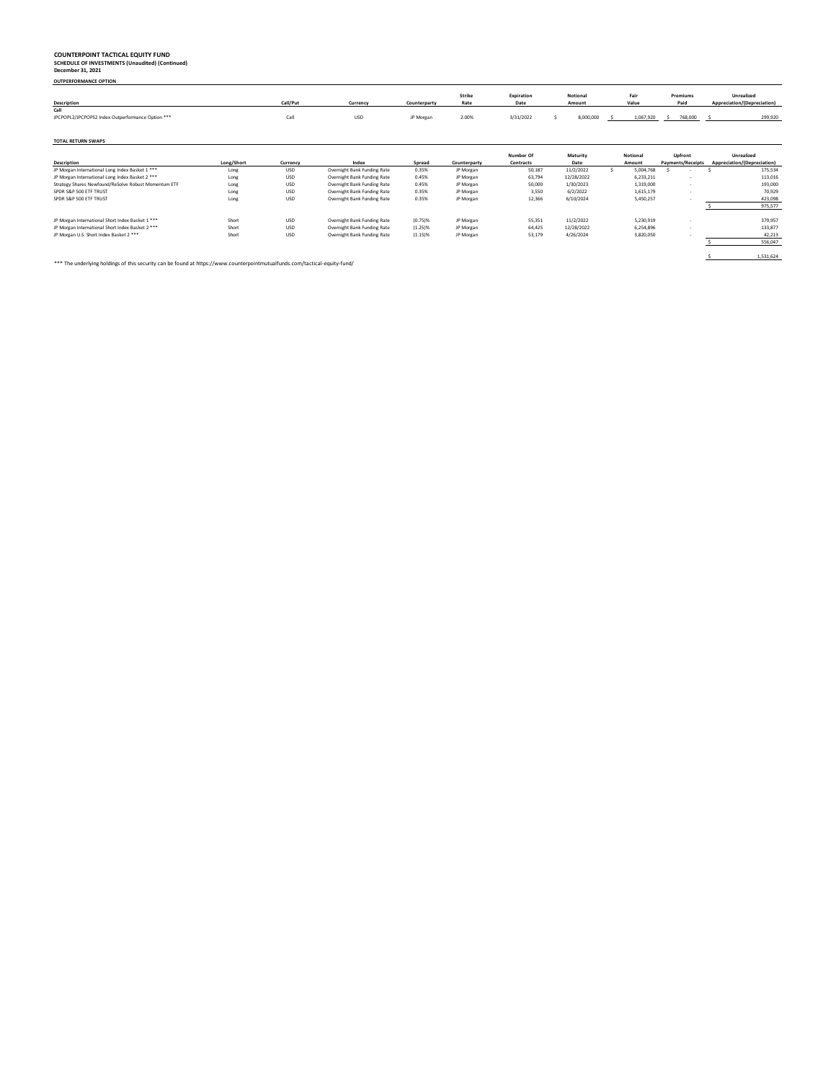| <b>OUTPERFORMANCE OPTION</b>                         |            |            |                             |              |                |                    |                    |    |               |                          |                                           |
|------------------------------------------------------|------------|------------|-----------------------------|--------------|----------------|--------------------|--------------------|----|---------------|--------------------------|-------------------------------------------|
| <b>Description</b>                                   |            | Call/Put   | Currency                    | Counterparty | Strike<br>Rate | Expiration<br>Date | Notional<br>Amount |    | Fair<br>Value | Premiums<br>Paid         | Unrealized<br>Appreciation/(Depreciation) |
| Call                                                 |            |            |                             |              |                |                    |                    |    |               |                          |                                           |
| JPCPOPL2/JPCPOPS2 Index Outperformance Option ***    |            | Call       | <b>USD</b>                  | JP Morgan    | 2.00%          | 3/31/2022          | 8,000,000          | s. | 1,067,920     | \$ 768,000               | 299,920                                   |
| <b>TOTAL RETURN SWAPS</b>                            |            |            |                             |              |                |                    |                    |    |               |                          |                                           |
|                                                      |            |            |                             |              |                | Number Of          | Maturity           |    | Notional      | Upfront                  | <b>Unrealized</b>                         |
| Description                                          | Long/Short | Currency   | Index                       | Spread       | Counterparty   | Contracts          | Date               |    | Amount        | <b>Payments/Receipts</b> | Appreciation/(Depreciation)               |
| JP Morgan International Long Index Basket 1 ***      | Long       | <b>USD</b> | Overnight Bank Funding Rate | 0.35%        | JP Morgan      | 50,187             | 11/2/2022          | \$ | 5,004,768     |                          | 175,534                                   |
| JP Morgan International Long Index Basket 2 ***      | Long       | USD        | Overnight Bank Funding Rate | 0.45%        | JP Morgan      | 63,794             | 12/28/2022         |    | 6,233,211     |                          | 113,016                                   |
| Strategy Shares Newfound/ReSolve Robust Momentum ETF | Long       | USD        | Overnight Bank Funding Rate | 0.45%        | JP Morgan      | 50,000             | 1/30/2023          |    | 1,319,000     | $\overline{\phantom{a}}$ | 193,000                                   |
| SPDR S&P 500 ETF TRUST                               | Long       | USD        | Overnight Bank Funding Rate | 0.35%        | JP Morgan      | 3,550              | 6/2/2022           |    | 1,615,179     | $\overline{\phantom{a}}$ | 70,929                                    |
| SPDR S&P 500 ETF TRUST                               | Long       | USD        | Overnight Bank Funding Rate | 0.35%        | JP Morgan      | 12,366             | 6/10/2024          |    | 5,450,257     |                          | 423,098                                   |
|                                                      |            |            |                             |              |                |                    |                    |    |               |                          | 975,577                                   |
| JP Morgan International Short Index Basket 1 ***     | Short      | USD        | Overnight Bank Funding Rate | $(0.75)$ %   | JP Morgan      | 55,351             | 11/2/2022          |    | 5,230,919     | ۰.                       | 379,957                                   |
| JP Morgan International Short Index Basket 2 ***     | Short      | USD        | Overnight Bank Funding Rate | (1.25)%      | JP Morgan      | 64,425             | 12/28/2022         |    | 6,254,896     | $\sim$                   | 133,877                                   |
| JP Morgan U.S. Short Index Basket 2 ***              | Short      | USD        | Overnight Bank Funding Rate | $(1.15)$ %   | JP Morgan      | 53,179             | 4/26/2024          |    | 3,820,050     |                          | 42,213                                    |
|                                                      |            |            |                             |              |                |                    |                    |    |               |                          | 556,047                                   |
|                                                      |            |            |                             |              |                |                    |                    |    |               |                          | 1,531,624                                 |

\*\*\* The underlying holdings of this security can be found at https://www.counterpointmutualfunds.com/tactical-equity-fund/